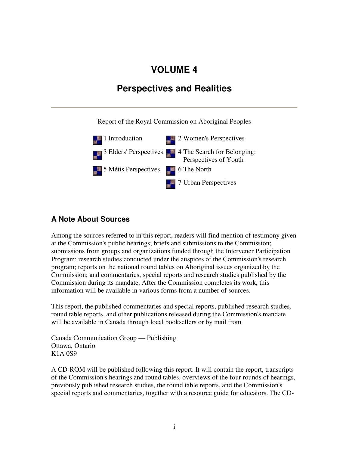## **VOLUME 4**

## **Perspectives and Realities**

Report of the Royal Commission on Aboriginal Peoples



## **A Note About Sources**

Among the sources referred to in this report, readers will find mention of testimony given at the Commission's public hearings; briefs and submissions to the Commission; submissions from groups and organizations funded through the Intervener Participation Program; research studies conducted under the auspices of the Commission's research program; reports on the national round tables on Aboriginal issues organized by the Commission; and commentaries, special reports and research studies published by the Commission during its mandate. After the Commission completes its work, this information will be available in various forms from a number of sources.

This report, the published commentaries and special reports, published research studies, round table reports, and other publications released during the Commission's mandate will be available in Canada through local booksellers or by mail from

Canada Communication Group — Publishing Ottawa, Ontario K1A 0S9

A CD-ROM will be published following this report. It will contain the report, transcripts of the Commission's hearings and round tables, overviews of the four rounds of hearings, previously published research studies, the round table reports, and the Commission's special reports and commentaries, together with a resource guide for educators. The CD-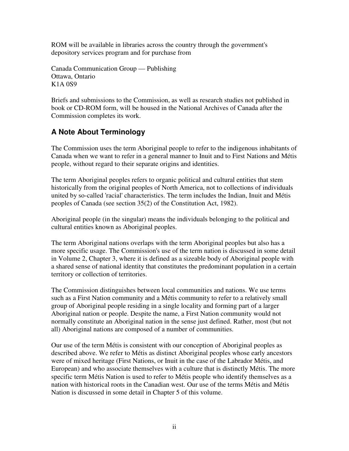ROM will be available in libraries across the country through the government's depository services program and for purchase from

Canada Communication Group — Publishing Ottawa, Ontario K1A 0S9

Briefs and submissions to the Commission, as well as research studies not published in book or CD-ROM form, will be housed in the National Archives of Canada after the Commission completes its work.

## **A Note About Terminology**

The Commission uses the term Aboriginal people to refer to the indigenous inhabitants of Canada when we want to refer in a general manner to Inuit and to First Nations and Métis people, without regard to their separate origins and identities.

The term Aboriginal peoples refers to organic political and cultural entities that stem historically from the original peoples of North America, not to collections of individuals united by so-called 'racial' characteristics. The term includes the Indian, Inuit and Métis peoples of Canada (see section 35(2) of the Constitution Act, 1982).

Aboriginal people (in the singular) means the individuals belonging to the political and cultural entities known as Aboriginal peoples.

The term Aboriginal nations overlaps with the term Aboriginal peoples but also has a more specific usage. The Commission's use of the term nation is discussed in some detail in Volume 2, Chapter 3, where it is defined as a sizeable body of Aboriginal people with a shared sense of national identity that constitutes the predominant population in a certain territory or collection of territories.

The Commission distinguishes between local communities and nations. We use terms such as a First Nation community and a Métis community to refer to a relatively small group of Aboriginal people residing in a single locality and forming part of a larger Aboriginal nation or people. Despite the name, a First Nation community would not normally constitute an Aboriginal nation in the sense just defined. Rather, most (but not all) Aboriginal nations are composed of a number of communities.

Our use of the term Métis is consistent with our conception of Aboriginal peoples as described above. We refer to Métis as distinct Aboriginal peoples whose early ancestors were of mixed heritage (First Nations, or Inuit in the case of the Labrador Métis, and European) and who associate themselves with a culture that is distinctly Métis. The more specific term Métis Nation is used to refer to Métis people who identify themselves as a nation with historical roots in the Canadian west. Our use of the terms Métis and Métis Nation is discussed in some detail in Chapter 5 of this volume.